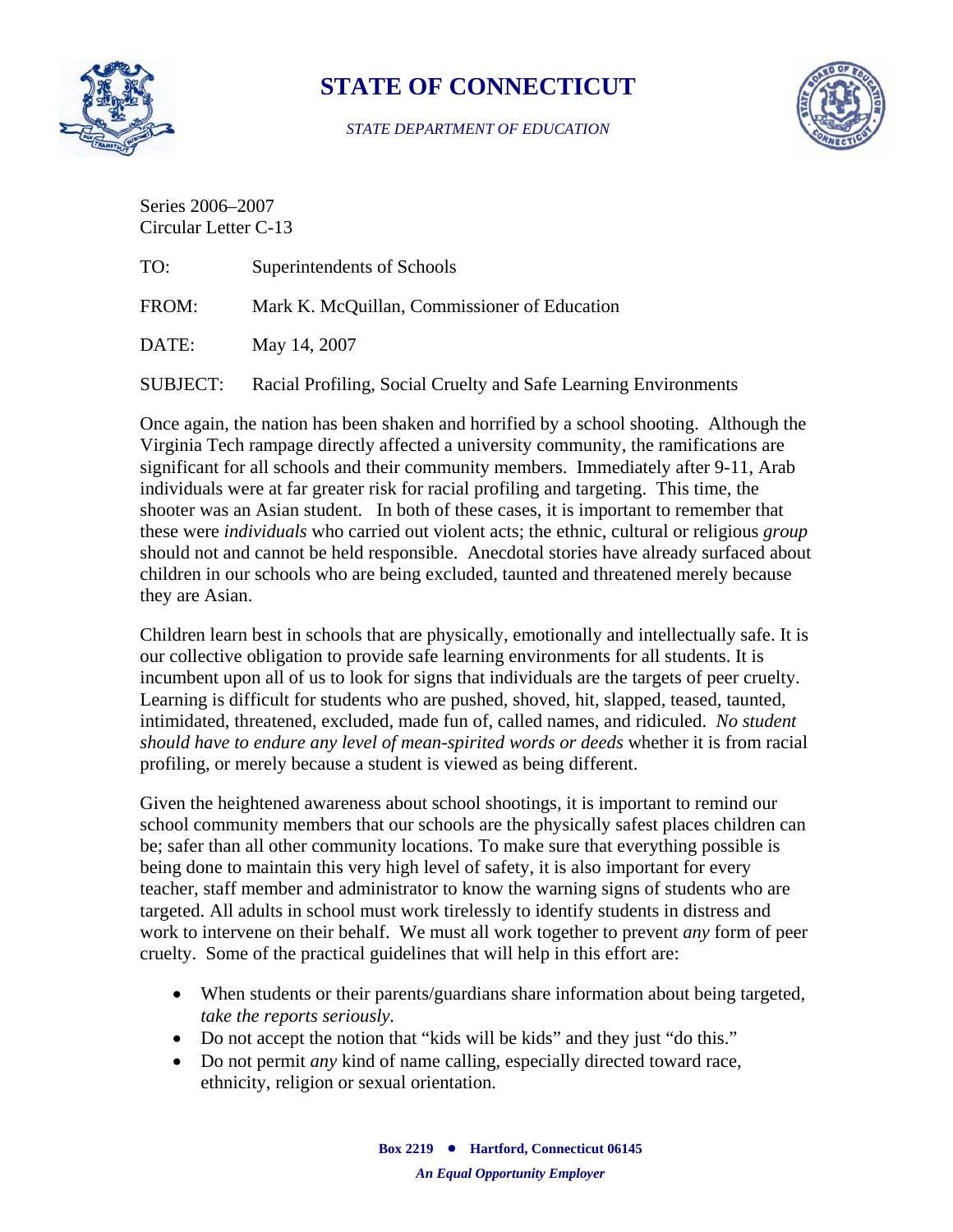

## **STATE OF CONNECTICUT**

*STATE DEPARTMENT OF EDUCATION*



Series 2006–2007 Circular Letter C-13

| TO:             | Superintendents of Schools                                      |
|-----------------|-----------------------------------------------------------------|
| FROM:           | Mark K. McQuillan, Commissioner of Education                    |
| DATE:           | May 14, 2007                                                    |
| <b>SUBJECT:</b> | Racial Profiling, Social Cruelty and Safe Learning Environments |

Once again, the nation has been shaken and horrified by a school shooting. Although the Virginia Tech rampage directly affected a university community, the ramifications are significant for all schools and their community members. Immediately after 9-11, Arab individuals were at far greater risk for racial profiling and targeting. This time, the shooter was an Asian student. In both of these cases, it is important to remember that these were *individuals* who carried out violent acts; the ethnic, cultural or religious *group* should not and cannot be held responsible. Anecdotal stories have already surfaced about children in our schools who are being excluded, taunted and threatened merely because they are Asian.

Children learn best in schools that are physically, emotionally and intellectually safe. It is our collective obligation to provide safe learning environments for all students. It is incumbent upon all of us to look for signs that individuals are the targets of peer cruelty. Learning is difficult for students who are pushed, shoved, hit, slapped, teased, taunted, intimidated, threatened, excluded, made fun of, called names, and ridiculed. *No student should have to endure any level of mean-spirited words or deeds* whether it is from racial profiling, or merely because a student is viewed as being different.

Given the heightened awareness about school shootings, it is important to remind our school community members that our schools are the physically safest places children can be; safer than all other community locations. To make sure that everything possible is being done to maintain this very high level of safety, it is also important for every teacher, staff member and administrator to know the warning signs of students who are targeted. All adults in school must work tirelessly to identify students in distress and work to intervene on their behalf. We must all work together to prevent *any* form of peer cruelty. Some of the practical guidelines that will help in this effort are:

- When students or their parents/guardians share information about being targeted, *take the reports seriously.*
- Do not accept the notion that "kids will be kids" and they just "do this."
- Do not permit *any* kind of name calling, especially directed toward race, ethnicity, religion or sexual orientation.